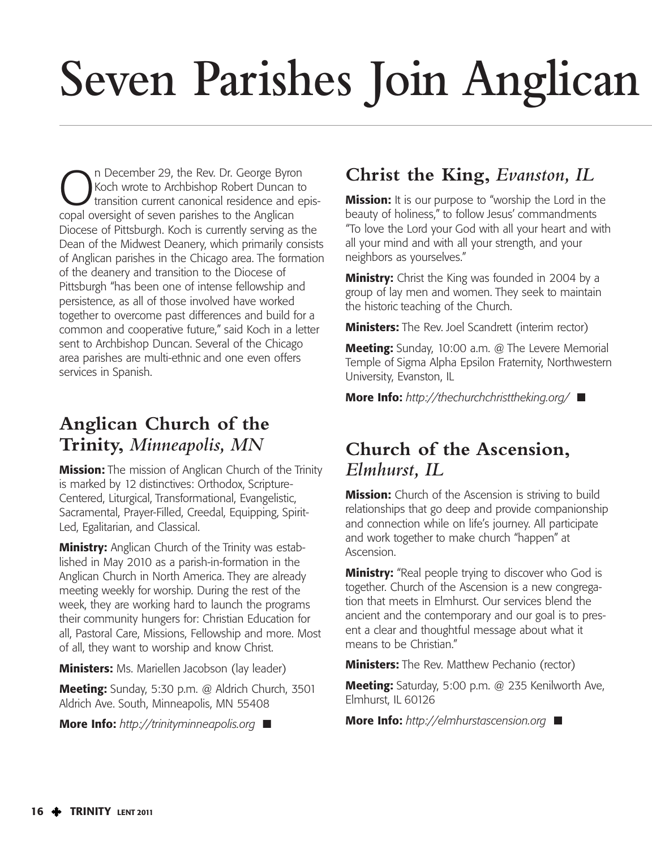# **Seven Parishes Join Anglican**

On December 29, the Rev. Dr. George Byron<br>
transition current canonical residence and e<br>
copal oversight of soven parishes to the Anglican Koch wrote to Archbishop Robert Duncan to transition current canonical residence and episcopal oversight of seven parishes to the Anglican Diocese of Pittsburgh. Koch is currently serving as the Dean of the Midwest Deanery, which primarily consists of Anglican parishes in the Chicago area. The formation of the deanery and transition to the Diocese of Pittsburgh "has been one of intense fellowship and persistence, as all of those involved have worked together to overcome past differences and build for a common and cooperative future," said Koch in a letter sent to Archbishop Duncan. Several of the Chicago area parishes are multi-ethnic and one even offers services in Spanish.

### **Anglican Church of the Trinity,** *Minneapolis, MN*

**Mission:** The mission of Anglican Church of the Trinity is marked by 12 distinctives: Orthodox, Scripture-Centered, Liturgical, Transformational, Evangelistic, Sacramental, Prayer-Filled, Creedal, Equipping, Spirit-Led, Egalitarian, and Classical.

**Ministry:** Anglican Church of the Trinity was established in May 2010 as a parish-in-formation in the Anglican Church in North America. They are already meeting weekly for worship. During the rest of the week, they are working hard to launch the programs their community hungers for: Christian Education for all, Pastoral Care, Missions, Fellowship and more. Most of all, they want to worship and know Christ.

**Ministers:** Ms. Mariellen Jacobson (lay leader)

**Meeting:** Sunday, 5:30 p.m. @ Aldrich Church, 3501 Aldrich Ave. South, Minneapolis, MN 55408

**More Info:** *http://trinityminneapolis.org* **■**

## **Christ the King,** *Evanston, IL*

**Mission:** It is our purpose to "worship the Lord in the beauty of holiness," to follow Jesus' commandments "To love the Lord your God with all your heart and with all your mind and with all your strength, and your neighbors as yourselves."

**Ministry:** Christ the King was founded in 2004 by a group of lay men and women. They seek to maintain the historic teaching of the Church.

**Ministers:** The Rev. Joel Scandrett (interim rector)

**Meeting:** Sunday, 10:00 a.m. @ The Levere Memorial Temple of Sigma Alpha Epsilon Fraternity, Northwestern University, Evanston, IL

**More Info:** *http://thechurchchristtheking.org/* **■**

### **Church of the Ascension,** *Elmhurst, IL*

**Mission:** Church of the Ascension is striving to build relationships that go deep and provide companionship and connection while on life's journey. All participate and work together to make church "happen" at Ascension.

**Ministry:** "Real people trying to discover who God is together. Church of the Ascension is a new congregation that meets in Elmhurst. Our services blend the ancient and the contemporary and our goal is to present a clear and thoughtful message about what it means to be Christian."

**Ministers:** The Rev. Matthew Pechanio (rector)

**Meeting:** Saturday, 5:00 p.m. @ 235 Kenilworth Ave, Elmhurst, IL 60126

**More Info:** *http://elmhurstascension.org* **■**